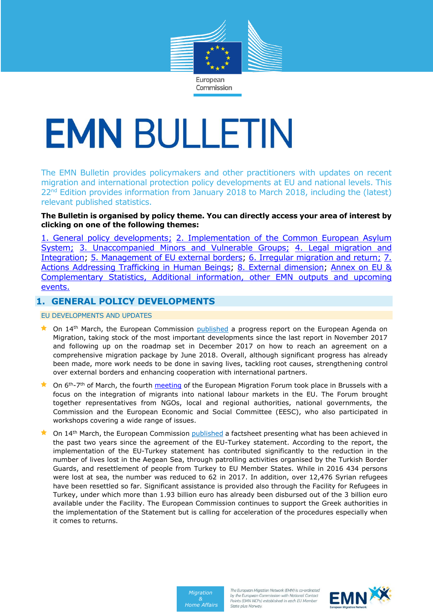

Commission

# **EMN BULLETIN**

The EMN Bulletin provides policymakers and other practitioners with updates on recent migration and international protection policy developments at EU and national levels. This 22<sup>nd</sup> Edition provides information from January 2018 to March 2018, including the (latest) relevant published statistics.

## **The Bulletin is organised by policy theme. You can directly access your area of interest by clicking on one of the following themes:**

[1. General policy developments;](#page-0-0) [2. Implementation of the Common European Asylum](#page-2-0)  [System;](#page-2-0) [3. Unaccompanied Minors and Vulnerable Groups;](#page-4-0) 4. Legal migration and [Integration;](#page-4-1) [5. Management of EU](#page-7-0) external borders; 6. Irregular migration and return; [7.](#page-9-0)  [Actions Addressing Trafficking in Human Beings;](#page-9-0) [8. External dimension;](#page-10-0) [Annex on EU &](#page-10-1)  [Complementary Statistics, Additional information, other EMN outputs and upcoming](#page-10-1)  [events.](#page-10-1)

## <span id="page-0-0"></span>**1. GENERAL POLICY DEVELOPMENTS**

EU DEVELOPMENTS AND UPDATES

- $\star$  On 14<sup>th</sup> March, the European Commission [published](https://ec.europa.eu/home-affairs/sites/homeaffairs/files/what-we-do/policies/european-agenda-migration/20180314_progress-report-progress-report-european-agenda-migration_en.pdf) a progress report on the European Agenda on Migration, taking stock of the most important developments since the last report in November 2017 and following up on the roadmap set in December 2017 on how to reach an agreement on a comprehensive migration package by June 2018. Overall, although significant progress has already been made, more work needs to be done in saving lives, tackling root causes, strengthening control over external borders and enhancing cooperation with international partners.
- ★ On 6<sup>th</sup>-7<sup>th</sup> of March, the fourth [meeting](https://www.eesc.europa.eu/en/agenda/our-events/events/european-migration-forum-4th-meeting) of the European Migration Forum took place in Brussels with a focus on the integration of migrants into national labour markets in the EU. The Forum brought together representatives from NGOs, local and regional authorities, national governments, the Commission and the European Economic and Social Committee (EESC), who also participated in workshops covering a wide range of issues.
- On 14<sup>th</sup> March, the European Commission [published](https://ec.europa.eu/home-affairs/sites/homeaffairs/files/docs/pages/00_eu_21st_emn_bulletin_january_2018_en.pdfhttps:/ec.europa.eu/home-affairs/sites/homeaffairs/files/what-we-do/policies/european-agenda-migration/20180314_eu-turkey-two-years-on_en.pdfhttps:/ec.europa.eu/home-affairs/sites/homeaffairs/files/what-we-do/policies/european-agenda-migration/20180314_eu-turkey-two-years-on_en.pdf) a factsheet presenting what has been achieved in the past two years since the agreement of the EU-Turkey statement. According to the report, the implementation of the EU-Turkey statement has contributed significantly to the reduction in the number of lives lost in the Aegean Sea, through patrolling activities organised by the Turkish Border Guards, and resettlement of people from Turkey to EU Member States. While in 2016 434 persons were lost at sea, the number was reduced to 62 in 2017. In addition, over 12,476 Syrian refugees have been resettled so far. Significant assistance is provided also through the Facility for Refugees in Turkey, under which more than 1.93 billion euro has already been disbursed out of the 3 billion euro available under the Facility. The European Commission continues to support the Greek authorities in the implementation of the Statement but is calling for acceleration of the procedures especially when it comes to returns.



The European Migration Network (EMN) is co-ordinated by the European Commission with National Contact Points (EMN NCPs) established in each EU Member State plus Norway.

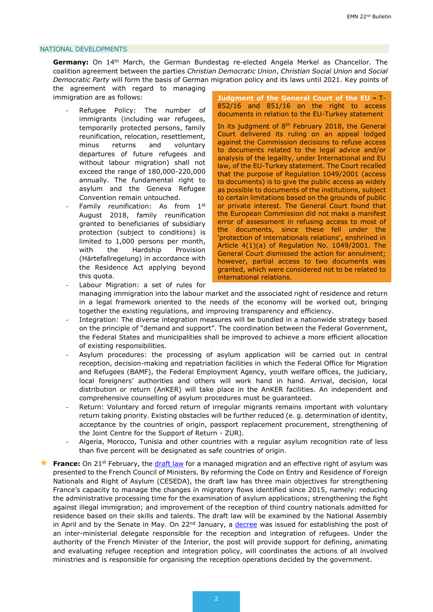#### NATIONAL DEVELOPMENTS

**Germany:** On 14th March, the German Bundestag re-elected Angela Merkel as Chancellor. The coalition agreement between the parties *Christian Democratic Union*, *Christian Social Union* and *Social Democratic Party* will form the basis of German migration policy and its laws until 2021. Key points of

the agreement with regard to managing immigration are as follows:

- Refugee Policy: The number of immigrants (including war refugees, temporarily protected persons, family reunification, relocation, resettlement, minus returns and voluntary departures of future refugees and without labour migration) shall not exceed the range of 180,000-220,000 annually. The fundamental right to asylum and the Geneva Refugee Convention remain untouched.
- Family reunification: As from  $1<sup>st</sup>$ August 2018, family reunification granted to beneficiaries of subsidiary protection (subject to conditions) is limited to 1,000 persons per month, with the Hardship Provision (Härtefallregelung) in accordance with the Residence Act applying beyond this quota.

**Judgment of the General Court of the EU -** T-852/16 and 851/16 on the right to access documents in relation to the EU-Turkey statement

In its judgment of  $8<sup>th</sup>$  February 2018, the General Court delivered its ruling on an appeal lodged against the Commission decisions to refuse access to documents related to the legal advice and/or analysis of the legality, under International and EU law, of the EU-Turkey statement. The Court recalled that the purpose of Regulation 1049/2001 (access to documents) is to give the public access as widely as possible to documents of the institutions, subject to certain limitations based on the grounds of public or private interest. The General Court found that the European Commission did not make a manifest error of assessment in refusing access to most of the documents, since these fell under the 'protection of internationals relations', enshrined in Article 4(1)(a) of Regulation No. 1049/2001. The General Court dismissed the action for annulment; however, partial access to two documents was granted, which were considered not to be related to international relations.

- Labour Migration: a set of rules for managing immigration into the labour market and the associated right of residence and return in a legal framework oriented to the needs of the economy will be worked out, bringing together the existing regulations, and improving transparency and efficiency.
- Integration: The diverse integration measures will be bundled in a nationwide strategy based on the principle of "demand and support". The coordination between the Federal Government, the Federal States and municipalities shall be improved to achieve a more efficient allocation of existing responsibilities.
- Asylum procedures: the processing of asylum application will be carried out in central reception, decision-making and repatriation facilities in which the Federal Office for Migration and Refugees (BAMF), the Federal Employment Agency, youth welfare offices, the judiciary, local foreigners' authorities and others will work hand in hand. Arrival, decision, local distribution or return (AnKER) will take place in the AnKER facilities. An independent and comprehensive counselling of asylum procedures must be guaranteed.
- Return: Voluntary and forced return of irregular migrants remains important with voluntary return taking priority. Existing obstacles will be further reduced (e. g. determination of identity, acceptance by the countries of origin, passport replacement procurement, strengthening of the Joint Centre for the Support of Return - ZUR).
- Algeria, Morocco, Tunisia and other countries with a regular asylum recognition rate of less than five percent will be designated as safe countries of origin.
- **France:** On 21<sup>st</sup> February, the [draft law](https://www.legifrance.gouv.fr/affichLoiPreparation.do?idDocument=JORFDOLE000036629528&type=general&typeLoi=proj&legislature=15) for a managed migration and an effective right of asylum was presented to the French Council of Ministers. By reforming the Code on Entry and Residence of Foreign Nationals and Right of Asylum (CESEDA), the draft law has three main objectives for strengthening France's capacity to manage the changes in migratory flows identified since 2015, namely: reducing the administrative processing time for the examination of asylum applications; strengthening the fight against illegal immigration; and improvement of the reception of third country nationals admitted for residence based on their skills and talents. The draft law will be examined by the National Assembly in April and by the Senate in May. On 22<sup>nd</sup> January, a [decree](https://www.immigration.interieur.gouv.fr/content/download/107406/852886/file/Decret-n_2018-33-22-janvier-2018-delegue-inter-accueil-integration-refugies.pdf) was issued for establishing the post of an inter-ministerial delegate responsible for the reception and integration of refugees. Under the authority of the French Minister of the Interior, the post will provide support for defining, animating and evaluating refugee reception and integration policy, will coordinates the actions of all involved ministries and is responsible for organising the reception operations decided by the government.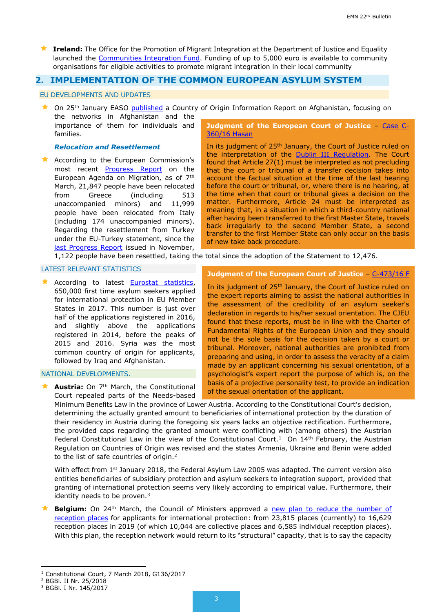<span id="page-2-0"></span> **Ireland:** The Office for the Promotion of Migrant Integration at the Department of Justice and Equality launched the [Communities Integration Fund.](http://www.integration.ie/en/ISEC/Pages/CIF2018) Funding of up to 5,000 euro is available to community organisations for eligible activities to promote migrant integration in their local community

## **2. IMPLEMENTATION OF THE COMMON EUROPEAN ASYLUM SYSTEM**

#### EU DEVELOPMENTS AND UPDATES

★ On 25<sup>th</sup> January EASO [published](https://coi.easo.europa.eu/administration/easo/PLib/Afghanistan_Networks.pdf?utm_source=ECRE+Newsletters&utm_campaign=49168a052e-EMAIL_CAMPAIGN_2018_02_02&utm_medium=email&utm_term=0_3ec9497afd-49168a052e-422302165) a Country of Origin Information Report on Afghanistan, focusing on

the networks in Afghanistan and the importance of them for individuals and families.

## *Relocation and Resettlement*

**A** According to the European Commission's most recent **[Progress Report](https://ec.europa.eu/home-affairs/sites/homeaffairs/files/what-we-do/policies/european-agenda-migration/20180314_progress-report-progress-report-european-agenda-migration_en.pdf)** on the European Agenda on Migration, as of 7th March, 21,847 people have been relocated from Greece (including 513 unaccompanied minors) and 11,999 people have been relocated from Italy (including 174 unaccompanied minors). Regarding the resettlement from Turkey under the EU-Turkey statement, since the [last Progress Report](https://ec.europa.eu/home-affairs/sites/homeaffairs/files/what-we-do/policies/european-agenda-migration/20171114_progress_report_on_the_european_agenda_on_migration_en.pdf) issued in November,

**Judgment of the European Court of Justice** – [Case C-](http://curia.europa.eu/juris/document/document.jsf?text=&docid=198763&pageIndex=0&doclang=en&mode=req&dir=&occ=first&part=1&cid=882271&utm_source=ECRE+Newsletters&utm_campaign=34a822ece8-EMAIL_CAMPAIGN_2018_01_26&utm_medium=email&utm_term=0_3ec9497afd-34a822ece8-422302165)[360/16 Hasan](http://curia.europa.eu/juris/document/document.jsf?text=&docid=198763&pageIndex=0&doclang=en&mode=req&dir=&occ=first&part=1&cid=882271&utm_source=ECRE+Newsletters&utm_campaign=34a822ece8-EMAIL_CAMPAIGN_2018_01_26&utm_medium=email&utm_term=0_3ec9497afd-34a822ece8-422302165)

In its judgment of 25<sup>th</sup> January, the Court of Justice ruled on the interpretation of the **Dublin III Regulation**. The Court found that Article 27(1) must be interpreted as not precluding that the court or tribunal of a transfer decision takes into account the factual situation at the time of the last hearing before the court or tribunal, or, where there is no hearing, at the time when that court or tribunal gives a decision on the matter. Furthermore, Article 24 must be interpreted as meaning that, in a situation in which a third-country national after having been transferred to the first Master State, travels back irregularly to the second Member State, a second transfer to the first Member State can only occur on the basis of new take back procedure.

1,122 people have been resettled, taking the total since the adoption of the Statement to 12,476.

#### LATEST RELEVANT STATISTICS

**A** According to latest **Eurostat statistics**, 650,000 first time asylum seekers applied for international protection in EU Member States in 2017. This number is just over half of the applications registered in 2016, and slightly above the applications registered in 2014, before the peaks of 2015 and 2016. Syria was the most common country of origin for applicants, followed by Iraq and Afghanistan.

#### NATIONAL DEVELOPMENTS.

**Austria:** On 7<sup>th</sup> March, the Constitutional Court repealed parts of the Needs-based

# **Judgment of the European Court of Justice - [C-473/16 F](http://curia.europa.eu/juris/document/document.jsf?text=&docid=198766&pageIndex=0&doclang=EN&mode=req&dir=&occ=first&part=1&cid=217091)**

In its judgment of 25<sup>th</sup> January, the Court of Justice ruled on the expert reports aiming to assist the national authorities in the assessment of the credibility of an asylum seeker's declaration in regards to his/her sexual orientation. The CJEU found that these reports, must be in line with the Charter of Fundamental Rights of the European Union and they should not be the sole basis for the decision taken by a court or tribunal. Moreover, national authorities are prohibited from preparing and using, in order to assess the veracity of a claim made by an applicant concerning his sexual orientation, of a psychologist's expert report the purpose of which is, on the basis of a projective personality test, to provide an indication of the sexual orientation of the applicant.

Minimum Benefits Law in the province of Lower Austria. According to the Constitutional Court's decision, determining the actually granted amount to beneficiaries of international protection by the duration of their residency in Austria during the foregoing six years lacks an objective rectification. Furthermore, the provided caps regarding the granted amount were conflicting with (among others) the Austrian Federal Constitutional Law in the view of the Constitutional Court.<sup>1</sup> On  $14<sup>th</sup>$  February, the Austrian Regulation on Countries of Origin was revised and the states Armenia, Ukraine and Benin were added to the list of safe countries of origin.<sup>2</sup>

With effect from 1st January 2018, the Federal Asylum Law 2005 was adapted. The current version also entitles beneficiaries of subsidiary protection and asylum seekers to integration support, provided that granting of international protection seems very likely according to empirical value. Furthermore, their identity needs to be proven.<sup>3</sup>

**Belgium:** On 24<sup>th</sup> March, the Council of Ministers approved a new plan to reduce the number of [reception places](https://emnbelgium.be/news/council-ministers-approves-reduction-plan-reception-places-applicants-international-protection) for applicants for international protection: from 23,815 places (currently) to 16,629 reception places in 2019 (of which 10,044 are collective places and 6,585 individual reception places). With this plan, the reception network would return to its "structural" capacity, that is to say the capacity

<sup>1</sup> <sup>1</sup> Constitutional Court, 7 March 2018, G136/2017

<sup>2</sup> BGBl. II Nr. 25/2018

<sup>3</sup> BGBl. I Nr. 145/2017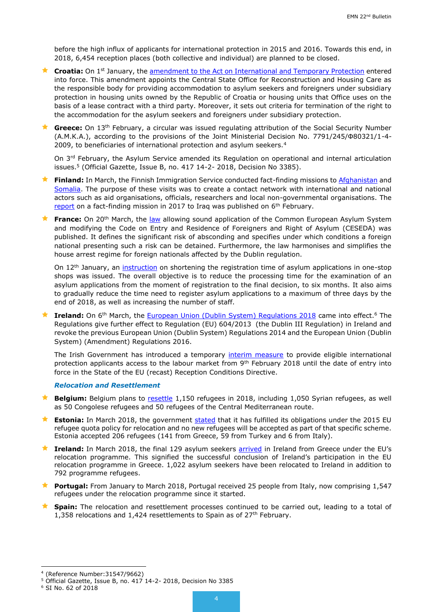before the high influx of applicants for international protection in 2015 and 2016. Towards this end, in 2018, 6,454 reception places (both collective and individual) are planned to be closed.

- **Croatia:** On 1<sup>st</sup> January, the [amendment to the Act on International and Temporary Protection](file:///C:/Users/39250/AppData/Local/Microsoft/Windows/Temporary%20Internet%20Files/Content.Outlook/XHDVBBYG/The%20Amendments%20to%20the%20Accto%20on%20International%20and%20Temporary%20Protection) entered into force. This amendment appoints the Central State Office for Reconstruction and Housing Care as the responsible body for providing accommodation to asylum seekers and foreigners under subsidiary protection in housing units owned by the Republic of Croatia or housing units that Office uses on the basis of a lease contract with a third party. Moreover, it sets out criteria for termination of the right to the accommodation for the asylum seekers and foreigners under subsidiary protection.
- **★ Greece:** On 13<sup>th</sup> February, a circular was issued regulating attribution of the Social Security Number (A.M.K.A.), according to the provisions of the Joint Ministerial Decision No. 7791/245/Φ80321/1-4- 2009, to beneficiaries of international protection and asylum seekers.<sup>4</sup>

On 3<sup>rd</sup> February, the Asylum Service amended its Regulation on operational and internal articulation issues. <sup>5</sup> (Official Gazette, Issue B, no. 417 14-2- 2018, Decision No 3385).

- **Finland:** In March, the Finnish Immigration Service conducted fact-finding missions to [Afghanistan](http://migri.fi/en/artikkeli/-/asset_publisher/virasto-teki-tiedonhankintamatkan-afganistaniin-maaliskuussa) and [Somalia.](http://migri.fi/en/artikkeli/-/asset_publisher/vuoden-ensimmainen-tiedonhankintamatka-tehtiin-somaliaan) The purpose of these visits was to create a contact network with international and national actors such as aid organisations, officials, researchers and local non-governmental organisations. The [report](http://migri.fi/en/artikkeli/-/asset_publisher/tiedonhankintamatka-bagdadiin-raportti-julkaistu) on a fact-finding mission in 2017 to Iraq was published on  $6<sup>th</sup>$  February.
- **France:** On 20<sup>th</sup> March, the [law](https://www.legifrance.gouv.fr/eli/loi/2018/3/20/INTX1734902L/jo/texte/fr) allowing sound application of the Common European Asylum System and modifying the Code on Entry and Residence of Foreigners and Right of Asylum (CESEDA) was published. It defines the significant risk of absconding and specifies under which conditions a foreign national presenting such a risk can be detained. Furthermore, the law harmonises and simplifies the house arrest regime for foreign nationals affected by the Dublin regulation.

On 12th January, an [instruction](http://circulaire.legifrance.gouv.fr/pdf/2018/01/cir_42919.pdf) on shortening the registration time of asylum applications in one-stop shops was issued. The overall objective is to reduce the processing time for the examination of an asylum applications from the moment of registration to the final decision, to six months. It also aims to gradually reduce the time need to register asylum applications to a maximum of three days by the end of 2018, as well as increasing the number of staff.

**★ Ireland:** On 6<sup>th</sup> March, the [European Union \(Dublin System\) Regulations 2018](http://www.ipo.gov.ie/en/IPO/SI%2062%20of%202018.pdf/Files/SI%2062%20of%202018.pdf) came into effect.<sup>6</sup> The Regulations give further effect to Regulation (EU) 604/2013 (the Dublin III Regulation) in Ireland and revoke the previous European Union (Dublin System) Regulations 2014 and the European Union (Dublin System) (Amendment) Regulations 2016.

The Irish Government has introduced a temporary [interim measure](http://www.inis.gov.ie/en/INIS/Pages/self-employment-permission) to provide eligible international protection applicants access to the labour market from 9<sup>th</sup> February 2018 until the date of entry into force in the State of the EU (recast) Reception Conditions Directive.

## *Relocation and Resettlement*

- **Belgium:** Belgium plans to [resettle](https://emnbelgium.be/news/belgium-plans-resettle-1150-refugees-2018) 1,150 refugees in 2018, including 1,050 Syrian refugees, as well as 50 Congolese refugees and 50 refugees of the Central Mediterranean route.
- **Estonia:** In March 2018, the government [stated](https://www.postimees.ee/4439139/eesti-loeb-kohustused-taidetuks-ja-rohkem-kvoodipagulasi-vastu-ei-vota) that it has fulfilled its obligations under the 2015 EU refugee quota policy for relocation and no new refugees will be accepted as part of that specific scheme. Estonia accepted 206 refugees (141 from Greece, 59 from Turkey and 6 from Italy).
- **Ireland:** In March 2018, the final 129 asylum seekers [arrived](http://www.inis.gov.ie/en/INIS/Pages/final-arrivals-from-greece-under-EU-relocation-programme-230318) in Ireland from Greece under the EU's relocation programme. This signified the successful conclusion of Ireland's participation in the EU relocation programme in Greece. 1,022 asylum seekers have been relocated to Ireland in addition to 792 programme refugees.
- **★ Portugal:** From January to March 2018, Portugal received 25 people from Italy, now comprising 1,547 refugees under the relocation programme since it started.
- **Spain:** The relocation and resettlement processes continued to be carried out, leading to a total of 1,358 relocations and 1,424 resettlements to Spain as of 27<sup>th</sup> February.

<sup>1</sup> 4 (Reference Number:31547/9662)

<sup>5</sup> Official Gazette, Issue B, no. 417 14-2- 2018, Decision No 3385

<sup>6</sup> SI No. 62 of 2018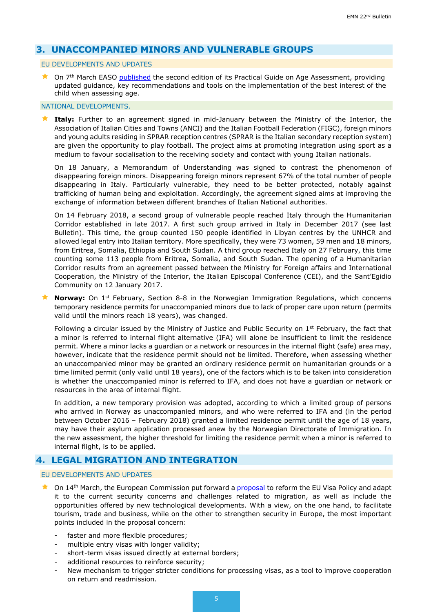## <span id="page-4-0"></span>**3. UNACCOMPANIED MINORS AND VULNERABLE GROUPS**

#### EU DEVELOPMENTS AND UPDATES

★ On 7<sup>th</sup> March EASO [published](https://www.easo.europa.eu/sites/default/files/easo-practical-guide-on-age-assesment-v3-2018.pdf?utm_source=ECRE+Newsletters&utm_campaign=daf9e5d520-EMAIL_CAMPAIGN_2018_03_16&utm_medium=email&utm_term=0_3ec9497afd-daf9e5d520-422302165Prac􀆟%20cal%20Guide%20on) the second edition of its Practical Guide on Age Assessment, providing updated guidance, key recommendations and tools on the implementation of the best interest of the child when assessing age.

#### NATIONAL DEVELOPMENTS.

 **Italy:** Further to an agreement signed in mid-January between the Ministry of the Interior, the Association of Italian Cities and Towns (ANCI) and the Italian Football Federation (FIGC), foreign minors and young adults residing in SPRAR reception centres (SPRAR is the Italian secondary reception system) are given the opportunity to play football. The project aims at promoting integration using sport as a medium to favour socialisation to the receiving society and contact with young Italian nationals.

On 18 January, a Memorandum of Understanding was signed to contrast the phenomenon of disappearing foreign minors. Disappearing foreign minors represent 67% of the total number of people disappearing in Italy. Particularly vulnerable, they need to be better protected, notably against trafficking of human being and exploitation. Accordingly, the agreement signed aims at improving the exchange of information between different branches of Italian National authorities.

On 14 February 2018, a second group of vulnerable people reached Italy through the Humanitarian Corridor established in late 2017. A first such group arrived in Italy in December 2017 (see last Bulletin). This time, the group counted 150 people identified in Libyan centres by the UNHCR and allowed legal entry into Italian territory. More specifically, they were 73 women, 59 men and 18 minors, from Eritrea, Somalia, Ethiopia and South Sudan. A third group reached Italy on 27 February, this time counting some 113 people from Eritrea, Somalia, and South Sudan. The opening of a Humanitarian Corridor results from an agreement passed between the Ministry for Foreign affairs and International Cooperation, the Ministry of the Interior, the Italian Episcopal Conference (CEI), and the Sant'Egidio Community on 12 January 2017.

**Norway:** On 1<sup>st</sup> February, Section 8-8 in the Norwegian Immigration Regulations, which concerns temporary residence permits for unaccompanied minors due to lack of proper care upon return (permits valid until the minors reach 18 years), was changed.

Following a circular issued by the Ministry of Justice and Public Security on 1<sup>st</sup> February, the fact that a minor is referred to internal flight alternative (IFA) will alone be insufficient to limit the residence permit. Where a minor lacks a guardian or a network or resources in the internal flight (safe) area may, however, indicate that the residence permit should not be limited. Therefore, when assessing whether an unaccompanied minor may be granted an ordinary residence permit on humanitarian grounds or a time limited permit (only valid until 18 years), one of the factors which is to be taken into consideration is whether the unaccompanied minor is referred to IFA, and does not have a guardian or network or resources in the area of internal flight.

In addition, a new temporary provision was adopted, according to which a limited group of persons who arrived in Norway as unaccompanied minors, and who were referred to IFA and (in the period between October 2016 – February 2018) granted a limited residence permit until the age of 18 years, may have their asylum application processed anew by the Norwegian Directorate of Immigration. In the new assessment, the higher threshold for limiting the residence permit when a minor is referred to internal flight, is to be applied.

## <span id="page-4-1"></span>**4. LEGAL MIGRATION AND INTEGRATION**

#### EU DEVELOPMENTS AND UPDATES

- $\bigstar$  On 14<sup>th</sup> March, the European Commission put forward a [proposal](https://ec.europa.eu/home-affairs/sites/homeaffairs/files/what-we-do/policies/european-agenda-migration/201780314_proposal-regulation-establishing-community-code-visas_en.pdf) to reform the EU Visa Policy and adapt it to the current security concerns and challenges related to migration, as well as include the opportunities offered by new technological developments. With a view, on the one hand, to facilitate tourism, trade and business, while on the other to strengthen security in Europe, the most important points included in the proposal concern:
	- faster and more flexible procedures;
	- multiple entry visas with longer validity;
	- short-term visas issued directly at external borders;
	- additional resources to reinforce security;
	- New mechanism to trigger stricter conditions for processing visas, as a tool to improve cooperation on return and readmission.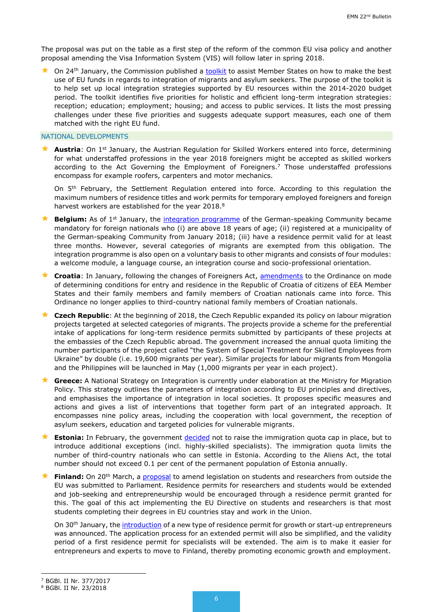The proposal was put on the table as a first step of the reform of the common EU visa policy and another proposal amending the Visa Information System (VIS) will follow later in spring 2018.

 $\star$  On 24<sup>th</sup> January, the Commission published a [toolkit](http://ec.europa.eu/regional_policy/en/information/publications/guides/2018/toolkit-on-the-use-of-eu-funds-for-the-integration-of-people-with-a-migrant-backgound) to assist Member States on how to make the best use of EU funds in regards to integration of migrants and asylum seekers. The purpose of the toolkit is to help set up local integration strategies supported by EU resources within the 2014-2020 budget period. The toolkit identifies five priorities for holistic and efficient long-term integration strategies: reception; education; employment; housing; and access to public services. It lists the most pressing challenges under these five priorities and suggests adequate support measures, each one of them matched with the right EU fund.

#### NATIONAL DEVELOPMENTS

**Austria**: On 1<sup>st</sup> January, the Austrian Regulation for Skilled Workers entered into force, determining for what understaffed professions in the year 2018 foreigners might be accepted as skilled workers according to the Act Governing the Employment of Foreigners.<sup>7</sup> Those understaffed professions encompass for example roofers, carpenters and motor mechanics.

On 5<sup>th</sup> February, the Settlement Regulation entered into force. According to this regulation the maximum numbers of residence titles and work permits for temporary employed foreigners and foreign harvest workers are established for the year 2018. $8$ 

**Belgium:** As of 1<sup>st</sup> January, the *integration programme* of the German-speaking Community became mandatory for foreign nationals who (i) are above 18 years of age; (ii) registered at a municipality of the German-speaking Community from January 2018; (iii) have a residence permit valid for at least three months. However, several categories of migrants are exempted from this obligation. The integration programme is also open on a voluntary basis to other migrants and consists of four modules: a welcome module, a language course, an integration course and socio-professional orientation.

 **Croatia**: In January, following the changes of Foreigners Act, [amendments](file:///C:/Users/39250/AppData/Local/Microsoft/Windows/Temporary%20Internet%20Files/Content.Outlook/XHDVBBYG/Amendments%20to%20the%20Ordinance%20on%20mode%20of%20determining%20conditions%20for%20entry%20and%20residence%20in%20the%20Republic%20of%20Croatia%20of%20citizens%20of%20EEA%20Member%20States%20and%20their%20family%20members%20and%20family%20members%20of%20Croatian%20nationals) to the Ordinance on mode of determining conditions for entry and residence in the Republic of Croatia of citizens of EEA Member States and their family members and family members of Croatian nationals came into force. This Ordinance no longer applies to third-country national family members of Croatian nationals.

**★ Czech Republic**: At the beginning of 2018, the Czech Republic expanded its policy on labour migration projects targeted at selected categories of migrants. The projects provide a scheme for the preferential intake of applications for long-term residence permits submitted by participants of these projects at the embassies of the Czech Republic abroad. The government increased the annual quota limiting the number participants of the project called "the System of Special Treatment for Skilled Employees from Ukraine" by double (i.e. 19,600 migrants per year). Similar projects for labour migrants from Mongolia and the Philippines will be launched in May (1,000 migrants per year in each project).

 **Greece:** A National Strategy on Integration is currently under elaboration at the Ministry for Migration Policy. This strategy outlines the parameters of integration according to EU principles and directives, and emphasises the importance of integration in local societies. It proposes specific measures and actions and gives a list of interventions that together form part of an integrated approach. It encompasses nine policy areas, including the cooperation with local government, the reception of asylum seekers, education and targeted policies for vulnerable migrants.

**Estonia:** In February, the government [decided](https://www.siseministeerium.ee/et/uudised/valitsus-joudis-sisserande-piirarvu-kusimuses-kokkuleppele) not to raise the immigration quota cap in place, but to introduce additional exceptions (incl. highly-skilled specialists). The immigration quota limits the number of third-country nationals who can settle in Estonia. According to the Aliens Act, the total number should not exceed 0.1 per cent of the permanent population of Estonia annually.

**Finland:** On 20<sup>th</sup> March, a [proposal](http://intermin.fi/en/article/-/asset_publisher/eu-n-ulkopuolelta-tulevia-opiskelijoita-ja-tutkijoita-koskevaa-lainsaadantoa-muutetaan) to amend legislation on students and researchers from outside the EU was submitted to Parliament. Residence permits for researchers and students would be extended and job-seeking and entrepreneurship would be encouraged through a residence permit granted for this. The goal of this act implementing the EU Directive on students and researchers is that most students completing their degrees in EU countries stay and work in the Union.

On 30th January, the [introduction](http://intermin.fi/en/article/-/asset_publisher/startup-oleskelulupa-helpottaa-yrittajien-ja-huippuosaajien-maahanmuuttoa-suomeen) of a new type of residence permit for growth or start-up entrepreneurs was announced. The application process for an extended permit will also be simplified, and the validity period of a first residence permit for specialists will be extended. The aim is to make it easier for entrepreneurs and experts to move to Finland, thereby promoting economic growth and employment.

-

<sup>7</sup> BGBl. II Nr. 377/2017

<sup>8</sup> BGBl. II Nr. 23/2018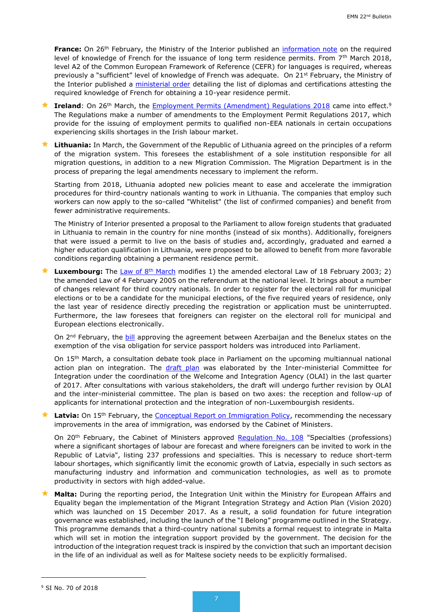**France:** On 26<sup>th</sup> February, the Ministry of the Interior published an [information note](https://circulaires.minint.fr/apps/maarch_entreprise/index.php?display=true&dir=indexing_searching&page=view_resource_controler&id=7437) on the required level of knowledge of French for the issuance of long term residence permits. From 7<sup>th</sup> March 2018, level A2 of the Common European Framework of Reference (CEFR) for languages is required, whereas previously a "sufficient" level of knowledge of French was adequate. On 21<sup>st</sup> February, the Ministry of the Interior published a [ministerial order](https://www.legifrance.gouv.fr/affichTexte.do?cidTexte=JORFTEXT000036639354&dateTexte=&oldAction=rechJO&categorieLien=id&idJO=JORFCONT000036639317) detailing the list of diplomas and certifications attesting the required knowledge of French for obtaining a 10-year residence permit.

**Ireland**: On 26<sup>th</sup> March, the [Employment Permits \(Amendment\) Regulations 2018](http://www.irishstatutebook.ie/eli/2018/si/70/made/en/pdf) came into effect.<sup>9</sup> The Regulations make a number of amendments to the Employment Permit Regulations 2017, which provide for the issuing of employment permits to qualified non-EEA nationals in certain occupations experiencing skills shortages in the Irish labour market.

 **Lithuania:** In March, the Government of the Republic of Lithuania agreed on the principles of a reform of the migration system. This foresees the establishment of a sole institution responsible for all migration questions, in addition to a new Migration Commission. The Migration Department is in the process of preparing the legal amendments necessary to implement the reform.

Starting from 2018, Lithuania adopted new policies meant to ease and accelerate the immigration procedures for third-country nationals wanting to work in Lithuania. The companies that employ such workers can now apply to the so-called "Whitelist" (the list of confirmed companies) and benefit from fewer administrative requirements.

The Ministry of Interior presented a proposal to the Parliament to allow foreign students that graduated in Lithuania to remain in the country for nine months (instead of six months). Additionally, foreigners that were issued a permit to live on the basis of studies and, accordingly, graduated and earned a higher education qualification in Lithuania, were proposed to be allowed to benefit from more favorable conditions regarding obtaining a permanent residence permit.

**Luxembourg:** The [Law of 8](http://legilux.public.lu/eli/etat/leg/loi/2018/03/08/a178/jo)<sup>th</sup> March modifies 1) the amended electoral Law of 18 February 2003; 2) the amended Law of 4 February 2005 on the referendum at the national level. It brings about a number of changes relevant for third country nationals. In order to register for the electoral roll for municipal elections or to be a candidate for the municipal elections, of the five required years of residence, only the last year of residence directly preceding the registration or application must be uninterrupted. Furthermore, the law foresees that foreigners can register on the electoral roll for municipal and European elections electronically.

On 2<sup>nd</sup> February, the **bill** approving the agreement between Azerbaijan and the Benelux states on the exemption of the visa obligation for service passport holders was introduced into Parliament.

On 15th March, a consultation debate took place in Parliament on the upcoming multiannual national action plan on integration. The [draft plan](http://www.chd.lu/wps/PA_RoleDesAffaires/FTSByteServingServletImpl?path=/export/exped/sexpdata/Mag/0007/123/15230.pdf) was elaborated by the Inter-ministerial Committee for Integration under the coordination of the Welcome and Integration Agency (OLAI) in the last quarter of 2017. After consultations with various stakeholders, the draft will undergo further revision by OLAI and the inter-ministerial committee. The plan is based on two axes: the reception and follow-up of applicants for international protection and the integration of non-Luxembourgish residents.

Latvia: On 15<sup>th</sup> February, the [Conceptual Report on Immigration Policy,](https://www.vestnesis.lv/op/2018/35.2) recommending the necessary improvements in the area of immigration, was endorsed by the Cabinet of Ministers.

On 20<sup>th</sup> February, the Cabinet of Ministers approved [Regulation](https://likumi.lv/doc.php?id=297537) No. 108 "Specialties (professions) where a significant shortages of labour are forecast and where foreigners can be invited to work in the Republic of Latvia", listing 237 professions and specialties. This is necessary to reduce short-term labour shortages, which significantly limit the economic growth of Latvia, especially in such sectors as manufacturing industry and information and communication technologies, as well as to promote productivity in sectors with high added-value.

 **Malta:** During the reporting period, the Integration Unit within the Ministry for European Affairs and Equality began the implementation of the Migrant Integration Strategy and Action Plan (Vision 2020) which was launched on 15 December 2017. As a result, a solid foundation for future integration governance was established, including the launch of the "I Belong" programme outlined in the Strategy. This programme demands that a third-country national submits a formal request to integrate in Malta which will set in motion the integration support provided by the government. The decision for the introduction of the integration request track is inspired by the conviction that such an important decision in the life of an individual as well as for Maltese society needs to be explicitly formalised.

1

<sup>9</sup> SI No. 70 of 2018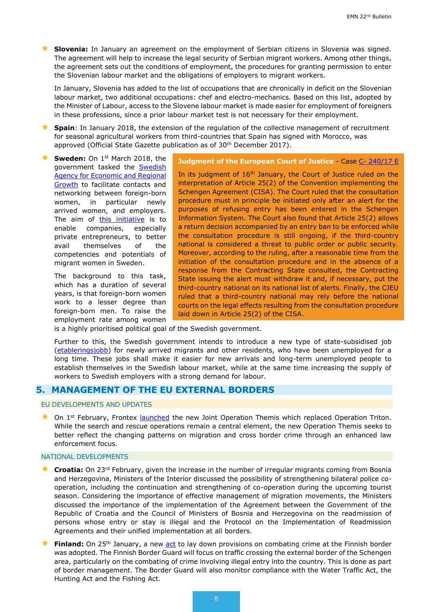**Slovenia:** In January an agreement on the employment of Serbian citizens in Slovenia was signed. The agreement will help to increase the legal security of Serbian migrant workers. Among other things, the agreement sets out the conditions of employment, the procedures for granting permission to enter the Slovenian labour market and the obligations of employers to migrant workers.

In January, Slovenia has added to the list of occupations that are chronically in deficit on the Slovenian labour market, two additional occupations: chef and electro-mechanics. Based on this list, adopted by the Minister of Labour, access to the Slovene labour market is made easier for employment of foreigners in these professions, since a prior labour market test is not necessary for their employment.

**Spain**: In January 2018, the extension of the regulation of the collective management of recruitment for seasonal agricultural workers from third-countries that Spain has signed with Morocco, was approved (Official State Gazette publication as of 30<sup>th</sup> December 2017).

**Sweden:** On 1<sup>st</sup> March 2018, the government tasked the [Swedish](https://tillvaxtverket.se/english.html)  [Agency for Economic and Regional](https://tillvaxtverket.se/english.html)  [Growth](https://tillvaxtverket.se/english.html) to facilitate contacts and networking between foreign-born women, in particular newly arrived women, and employers. The aim of [this initiative](http://www.regeringen.se/4948a5/contentassets/5902ae60335a4aa99db41ce2c0f7b266/n18-01430.pdf) is to enable companies, especially private entrepreneurs, to better avail themselves of the competencies and potentials of migrant women in Sweden.

The background to this task, which has a duration of several years, is that foreign-born women work to a lesser degree than foreign-born men. To raise the employment rate among women **Judgment of the European Court of Justice** - Case C- [240/17 E](http://curia.europa.eu/juris/document/document.jsf;jsessionid=9ea7d0f130d5d14d58afc39a4c6b8f31ed219a6a44e0.e34KaxiLc3eQc40LaxqMbN4PaNuNe0?text=&docid=198441&pageIndex=0&doclang=en&mode=lst&dir=&occ=first&part=1&cid=595751&utm_source=ECRE+Newsletters&utm_campaign=1856e46822-EMAIL_CAMPAIGN_2018_01_19&utm_medium=email&utm_term=0_3ec9497afd-1856e46822-422302165http://curia.europa.eu/juris/document/document.jsf;jsessionid=9ea7d0f130d5d14d58afc39a4c6b8f31ed219a6a44e0.e34KaxiLc3eQc40LaxqMbN4PaNuNe0?text=&docid=198441&pageIndex=0&doclang=en&mode=lst&dir=&occ=first&part=1&cid=595751&utm_source=ECRE+Newsletters&utm_campaign=1856e46822-EMAIL_CAMPAIGN_2018_01_19&utm_medium=email&utm_term=0_3ec9497afd-1856e46822-422302165)

In its judgment of 16<sup>th</sup> January, the Court of Justice ruled on the interpretation of Article 25(2) of the Convention implementing the Schengen Agreement (CISA). The Court ruled that the consultation procedure must in principle be initiated only after an alert for the purposes of refusing entry has been entered in the Schengen Information System. The Court also found that Article 25(2) allows a return decision accompanied by an entry ban to be enforced while the consultation procedure is still ongoing, if the third-country national is considered a threat to public order or public security. Moreover, according to the ruling, after a reasonable time from the initiation of the consultation procedure and in the absence of a response from the Contracting State consulted, the Contracting State issuing the alert must withdraw it and, if necessary, put the third-country national on its national list of alerts. Finally, the CJEU ruled that a third-country national may rely before the national courts on the legal effects resulting from the consultation procedure laid down in Article 25(2) of the CISA.

is a highly prioritised political goal of the Swedish government.

Further to this, the Swedish government intends to introduce a new type of state-subsidised job [\(etableringsjobb\)](http://www.regeringen.se/pressmeddelanden/2018/03/regeringen-och-arbetsmarknadens-parter-overens-om-etableringsjobb/) for newly arrived migrants and other residents, who have been unemployed for a long time. These jobs shall make it easier for new arrivals and long-term unemployed people to establish themselves in the Swedish labour market, while at the same time increasing the supply of workers to Swedish employers with a strong demand for labour.

## <span id="page-7-0"></span>**5. MANAGEMENT OF THE EU EXTERNAL BORDERS**

## EU DEVELOPMENTS AND UPDATES

★ On 1<sup>st</sup> February, Frontex [launched](https://frontex.europa.eu/media-centre/news-release/frontex-launching-new-operation-in-central-med-yKqSc7) the new Joint Operation Themis which replaced Operation Triton. While the search and rescue operations remain a central element, the new Operation Themis seeks to better reflect the changing patterns on migration and cross border crime through an enhanced law enforcement focus.

#### NATIONAL DEVELOPMENTS

- **★ Croatia:** On 23<sup>rd</sup> February, given the increase in the number of irregular migrants coming from Bosnia and Herzegovina, Ministers of the Interior discussed the possibility of strengthening bilateral police cooperation, including the continuation and strengthening of co-operation during the upcoming tourist season. Considering the importance of effective management of migration movements, the Ministers discussed the importance of the implementation of the Agreement between the Government of the Republic of Croatia and the Council of Ministers of Bosnia and Herzegovina on the readmission of persons whose entry or stay is illegal and the Protocol on the Implementation of Readmission Agreements and their unified implementation at all borders.
- **Finland:** On 25<sup>th</sup> January, a new [act](http://intermin.fi/en/article/-/asset_publisher/uusi-laki-saatelemaan-rajavartiolaitoksen-rikostorjuntaa) to lay down provisions on combating crime at the Finnish border was adopted. The Finnish Border Guard will focus on traffic crossing the external border of the Schengen area, particularly on the combating of crime involving illegal entry into the country. This is done as part of border management. The Border Guard will also monitor compliance with the Water Traffic Act, the Hunting Act and the Fishing Act.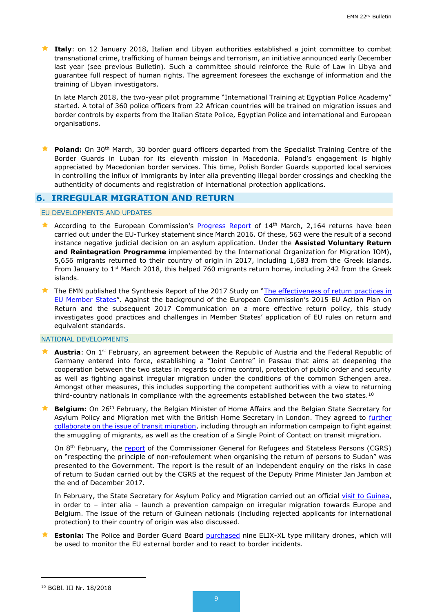**Italy**: on 12 January 2018, Italian and Libyan authorities established a joint committee to combat transnational crime, trafficking of human beings and terrorism, an initiative announced early December last year (see previous Bulletin). Such a committee should reinforce the Rule of Law in Libya and guarantee full respect of human rights. The agreement foresees the exchange of information and the training of Libyan investigators.

In late March 2018, the two-year pilot programme "International Training at Egyptian Police Academy" started. A total of 360 police officers from 22 African countries will be trained on migration issues and border controls by experts from the Italian State Police, Egyptian Police and international and European organisations.

**Poland:** On 30<sup>th</sup> March, 30 border guard officers departed from the Specialist Training Centre of the Border Guards in Luban for its eleventh mission in Macedonia. Poland's engagement is highly appreciated by Macedonian border services. This time, Polish Border Guards supported local services in controlling the influx of immigrants by inter alia preventing illegal border crossings and checking the authenticity of documents and registration of international protection applications.

## **6. IRREGULAR MIGRATION AND RETURN**

#### EU DEVELOPMENTS AND UPDATES

- According to the European Commission's **Progress Report** of  $14<sup>th</sup>$  March, 2,164 returns have been carried out under the EU-Turkey statement since March 2016. Of these, 563 were the result of a second instance negative judicial decision on an asylum application. Under the **Assisted Voluntary Return and Reintegration Programme** implemented by the International Organization for Migration IOM), 5,656 migrants returned to their country of origin in 2017, including 1,683 from the Greek islands. From January to  $1<sup>st</sup>$  March 2018, this helped 760 migrants return home, including 242 from the Greek islands.
- The EMN published the Synthesis Report of the 2017 Study on "The effectiveness of return practices in [EU Member States](https://ec.europa.eu/home-affairs/sites/homeaffairs/files/00_eu_synthesis_report_return_study_en.pdf)". Against the background of the European Commission's 2015 EU Action Plan on Return and the subsequent 2017 Communication on a more effective return policy, this study investigates good practices and challenges in Member States' application of EU rules on return and equivalent standards.

#### NATIONAL DEVELOPMENTS

- **Austria**: On 1<sup>st</sup> February, an agreement between the Republic of Austria and the Federal Republic of Germany entered into force, establishing a "Joint Centre" in Passau that aims at deepening the cooperation between the two states in regards to crime control, protection of public order and security as well as fighting against irregular migration under the conditions of the common Schengen area. Amongst other measures, this includes supporting the competent authorities with a view to returning third-country nationals in compliance with the agreements established between the two states.<sup>10</sup>
- **Belgium:** On 26th February, the Belgian Minister of Home Affairs and the Belgian State Secretary for Asylum Policy and Migration met with the British Home Secretary in London. They agreed to [further](https://emnbelgium.be/news/belgium-and-united-kingdom-further-cooperate-issue-transit-migration)  [collaborate on the issue of transit migration,](https://emnbelgium.be/news/belgium-and-united-kingdom-further-cooperate-issue-transit-migration) including through an information campaign to fight against the smuggling of migrants, as well as the creation of a Single Point of Contact on transit migration.

On 8<sup>th</sup> February, the [report](https://emnbelgium.be/news/cgrss-conclusions-return-operations-sudan) of the Commissioner General for Refugees and Stateless Persons (CGRS) on "respecting the principle of non-refoulement when organising the return of persons to Sudan" was presented to the Government. The report is the result of an independent enquiry on the risks in case of return to Sudan carried out by the CGRS at the request of the Deputy Prime Minister Jan Jambon at the end of December 2017.

In February, the State Secretary for Asylum Policy and Migration carried out an official [visit to Guinea,](https://emnbelgium.be/news/visit-state-secretary-asylum-policy-and-migration-guinea-focuses-prevention-irregular) in order to – inter alia – launch a prevention campaign on irregular migration towards Europe and Belgium. The issue of the return of Guinean nationals (including rejected applicants for international protection) to their country of origin was also discussed.

 **Estonia:** The Police and Border Guard Board [purchased](https://www.politsei.ee/et/uudised/ppa-hankis-piiriturvalisuse-tagamiseks-militaardroonid-40) nine ELIX-XL type military drones, which will be used to monitor the EU external border and to react to border incidents.

1

<sup>10</sup> BGBl. III Nr. 18/2018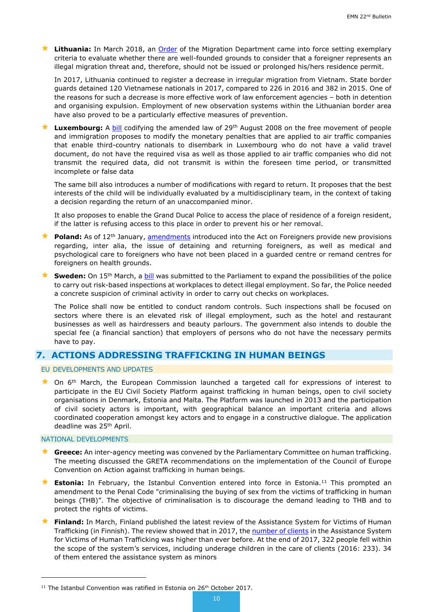**Lithuania:** In March 2018, an [Order](https://www.e-tar.lt/portal/lt/legalAct/ab5a8ee01d2e11e88e8fef3b3f51dc2f) of the Migration Department came into force setting exemplary criteria to evaluate whether there are well-founded grounds to consider that a foreigner represents an illegal migration threat and, therefore, should not be issued or prolonged his/hers residence permit.

In 2017, Lithuania continued to register a decrease in irregular migration from Vietnam. State border guards detained 120 Vietnamese nationals in 2017, compared to 226 in 2016 and 382 in 2015. One of the reasons for such a decrease is more effective work of law enforcement agencies – both in detention and organising expulsion. Employment of new observation systems within the Lithuanian border area have also proved to be a particularly effective measures of prevention.

**Luxembourg:** A [bill](http://www.chd.lu/wps/PA_RoleDesAffaires/FTSByteServingServletImpl?path=/export/exped/sexpdata/Mag/0007/155/15557.pdf) codifying the amended law of 29<sup>th</sup> August 2008 on the free movement of people and immigration proposes to modify the monetary penalties that are applied to air traffic companies that enable third-country nationals to disembark in Luxembourg who do not have a valid travel document, do not have the required visa as well as those applied to air traffic companies who did not transmit the required data, did not transmit is within the foreseen time period, or transmitted incomplete or false data

The same bill also introduces a number of modifications with regard to return. It proposes that the best interests of the child will be individually evaluated by a multidisciplinary team, in the context of taking a decision regarding the return of an unaccompanied minor.

It also proposes to enable the Grand Ducal Police to access the place of residence of a foreign resident, if the latter is refusing access to this place in order to prevent his or her removal.

- **Poland:** As of 12<sup>th</sup> January, [amendments](https://emn.gov.pl/ese/news/14990,New-amendment-to-the-Act-on-Foreigners-entered-into-force-on-12-February-2018.html) introduced into the Act on Foreigners provide new provisions regarding, inter alia, the issue of detaining and returning foreigners, as well as medical and psychological care to foreigners who have not been placed in a guarded centre or remand centres for foreigners on health grounds.
- **Sweden:** On 15<sup>th</sup> March, a [bill](http://www.regeringen.se/4950e9/contentassets/44162aaf7bc7435d96770c87522736cb/utokade-mojligheter-till-arbetsplatsinspektioner-prop.-201718176) was submitted to the Parliament to expand the possibilities of the police to carry out risk-based inspections at workplaces to detect illegal employment. So far, the Police needed a concrete suspicion of criminal activity in order to carry out checks on workplaces.

The Police shall now be entitled to conduct random controls. Such inspections shall be focused on sectors where there is an elevated risk of illegal employment, such as the hotel and restaurant businesses as well as hairdressers and beauty parlours. The government also intends to double the special fee (a financial sanction) that employers of persons who do not have the necessary permits have to pay.

## <span id="page-9-0"></span>**7. ACTIONS ADDRESSING TRAFFICKING IN HUMAN BEINGS**

EU DEVELOPMENTS AND UPDATES

**Command March, the European Commission launched a targeted call for expressions of interest to** participate in the EU Civil Society Platform against trafficking in human beings, open to civil society organisations in Denmark, Estonia and Malta. The Platform was launched in 2013 and the participation of civil society actors is important, with geographical balance an important criteria and allows coordinated cooperation amongst key actors and to engage in a constructive dialogue. The application deadline was 25<sup>th</sup> April.

#### NATIONAL DEVELOPMENTS

1

- **★ Greece:** An inter-agency meeting was convened by the Parliamentary Committee on human trafficking. The meeting discussed the GRETA recommendations on the implementation of the Council of Europe Convention on Action against trafficking in human beings.
- **Estonia:** In February, the Istanbul Convention entered into force in Estonia.<sup>11</sup> This prompted an amendment to the Penal Code "criminalising the buying of sex from the victims of trafficking in human beings (THB)". The objective of criminalisation is to discourage the demand leading to THB and to protect the rights of victims.
- **Finland:** In March, Finland published the latest review of the Assistance System for Victims of Human Trafficking (in Finnish). The review showed that in 2017, the [number of clients](http://migri.fi/en/artikkeli/-/asset_publisher/ihmiskaupan-uhrien-auttamisjarjestelman-asiakasmaara-korkein-sen-historiassa) in the Assistance System for Victims of Human Trafficking was higher than ever before. At the end of 2017, 322 people fell within the scope of the system's services, including underage children in the care of clients (2016: 233). 34 of them entered the assistance system as minors

<sup>&</sup>lt;sup>11</sup> The Istanbul Convention was ratified in Estonia on 26<sup>th</sup> October 2017.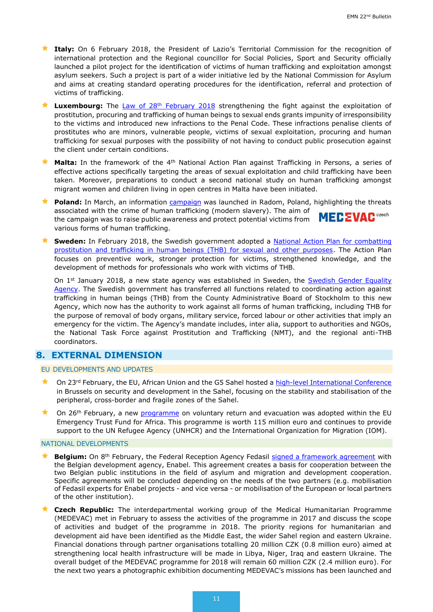- **Italy:** On 6 February 2018, the President of Lazio's Territorial Commission for the recognition of international protection and the Regional councillor for Social Policies, Sport and Security officially launched a pilot project for the identification of victims of human trafficking and exploitation amongst asylum seekers. Such a project is part of a wider initiative led by the National Commission for Asylum and aims at creating standard operating procedures for the identification, referral and protection of victims of trafficking.
- **Luxembourg:** The [Law of 28](http://legilux.public.lu/eli/etat/leg/loi/2018/02/28/a170/jo)<sup>th</sup> February 2018 strengthening the fight against the exploitation of prostitution, procuring and trafficking of human beings to sexual ends grants impunity of irresponsibility to the victims and introduced new infractions to the Penal Code. These infractions penalise clients of prostitutes who are minors, vulnerable people, victims of sexual exploitation, procuring and human trafficking for sexual purposes with the possibility of not having to conduct public prosecution against the client under certain conditions.
- **Malta:** In the framework of the 4<sup>th</sup> National Action Plan against Trafficking in Persons, a series of effective actions specifically targeting the areas of sexual exploitation and child trafficking have been taken. Moreover, preparations to conduct a second national study on human trafficking amongst migrant women and children living in open centres in Malta have been initiated.
- **Poland:** In March, an information [campaign](https://emn.gov.pl/ese/news/14988,Antitrafficking-informational-and-educational-campaign.html) was launched in Radom, Poland, highlighting the threats associated with the crime of human trafficking (modern slavery). The aim of **MECEVAC**<sub>crech</sub> the campaign was to raise public awareness and protect potential victims from various forms of human trafficking.
- **★ Sweden:** In February 2018, the Swedish government adopted a **National Action Plan for combatting** [prostitution and trafficking in human beings \(THB\) for sexual and other purposes.](http://www.regeringen.se/492162/contentassets/24797d74f0bf447998138bc6b18aadb9/handlingsplan-mot-prostitution-och-manniskohandel.pdf) The Action Plan focuses on preventive work, stronger protection for victims, strengthened knowledge, and the development of methods for professionals who work with victims of THB.

On 1<sup>st</sup> January 2018, a new state agency was established in Sweden, the Swedish Gender Equality [Agency.](https://www.jamstalldhetsmyndigheten.se/en/) The Swedish government has transferred all functions related to coordinating action against trafficking in human beings (THB) from the County Administrative Board of Stockholm to this new Agency, which now has the authority to work against all forms of human trafficking, including THB for the purpose of removal of body organs, military service, forced labour or other activities that imply an emergency for the victim. The Agency's mandate includes, inter alia, support to authorities and NGOs, the National Task Force against Prostitution and Trafficking (NMT), and the regional anti-THB coordinators.

## <span id="page-10-0"></span>**8. EXTERNAL DIMENSION**

## EU DEVELOPMENTS AND UPDATES

- ★ On 23<sup>rd</sup> February, the EU, African Union and the G5 Sahel hosted a [high-level International Conference](http://europa.eu/rapid/press-release_MEMO-18-942_en.htm) in Brussels on security and development in the Sahel, focusing on the stability and stabilisation of the peripheral, cross-border and fragile zones of the Sahel.
- On 26<sup>th</sup> February, a new [programme](https://ec.europa.eu/trustfundforafrica/all-news-and-stories/delivering-commitments-new-programmes-protect-migrants-and-support-return-and_en) on voluntary return and evacuation was adopted within the EU Emergency Trust Fund for Africa. This programme is worth 115 million euro and continues to provide support to the UN Refugee Agency (UNHCR) and the International Organization for Migration (IOM).

<span id="page-10-1"></span>NATIONAL DEVELOPMENTS

- Belgium: On 8<sup>th</sup> February, the Federal Reception Agency Fedasil [signed a framework agreement](https://emnbelgium.be/news/cooperation-between-fedasil-and-enabel) with the Belgian development agency, Enabel. This agreement creates a basis for cooperation between the two Belgian public institutions in the field of asylum and migration and development cooperation. Specific agreements will be concluded depending on the needs of the two partners (e.g. mobilisation of Fedasil experts for Enabel projects - and vice versa - or mobilisation of the European or local partners of the other institution).
- **Czech Republic:** The interdepartmental working group of the Medical Humanitarian Programme (MEDEVAC) met in February to assess the activities of the programme in 2017 and discuss the scope of activities and budget of the programme in 2018. The priority regions for humanitarian and development aid have been identified as the Middle East, the wider Sahel region and eastern Ukraine. Financial donations through partner organisations totalling 20 million CZK (0.8 million euro) aimed at strengthening local health infrastructure will be made in Libya, Niger, Iraq and eastern Ukraine. The overall budget of the MEDEVAC programme for 2018 will remain 60 million CZK (2.4 million euro). For the next two years a photographic exhibition documenting MEDEVAC's missions has been launched and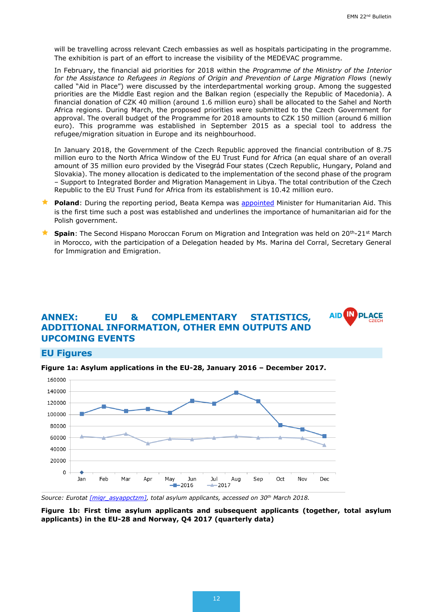**AID IN PL** 

**ACE** 

will be travelling across relevant Czech embassies as well as hospitals participating in the programme. The exhibition is part of an effort to increase the visibility of the MEDEVAC programme.

In February, the financial aid priorities for 2018 within the *Programme of the Ministry of the Interior for the Assistance to Refugees in Regions of Origin and Prevention of Large Migration Flows* (newly called "Aid in Place") were discussed by the interdepartmental working group. Among the suggested priorities are the Middle East region and the Balkan region (especially the Republic of Macedonia). A financial donation of CZK 40 million (around 1.6 million euro) shall be allocated to the Sahel and North Africa regions. During March, the proposed priorities were submitted to the Czech Government for approval. The overall budget of the Programme for 2018 amounts to CZK 150 million (around 6 million euro). This programme was established in September 2015 as a special tool to address the refugee/migration situation in Europe and its neighbourhood.

In January 2018, the Government of the Czech Republic approved the financial contribution of 8.75 million euro to the North Africa Window of the EU Trust Fund for Africa (an equal share of an overall amount of 35 million euro provided by the Visegrád Four states (Czech Republic, Hungary, Poland and Slovakia). The money allocation is dedicated to the implementation of the second phase of the program – Support to Integrated Border and Migration Management in Libya. The total contribution of the Czech Republic to the EU Trust Fund for Africa from its establishment is 10.42 million euro.

- Poland: During the reporting period, Beata Kempa was **appointed** Minister for Humanitarian Aid. This is the first time such a post was established and underlines the importance of humanitarian aid for the Polish government.
- **★ Spain**: The Second Hispano Moroccan Forum on Migration and Integration was held on 20<sup>th</sup>-21st March in Morocco, with the participation of a Delegation headed by Ms. Marina del Corral, Secretary General for Immigration and Emigration.

## **ANNEX: EU & COMPLEMENTARY STATISTICS, ADDITIONAL INFORMATION, OTHER EMN OUTPUTS AND UPCOMING EVENTS**

## **EU Figures**

**Figure 1a: Asylum applications in the EU-28, January 2016 – December 2017.** 



*Source: Eurotat [\[migr\\_asyappctzm\],](http://appsso.eurostat.ec.europa.eu/nui/show.do?dataset=migr_asyappctzm&lang=en) total asylum applicants, accessed on 30th March 2018.*

**Figure 1b: First time asylum applicants and subsequent applicants (together, total asylum applicants) in the EU-28 and Norway, Q4 2017 (quarterly data)**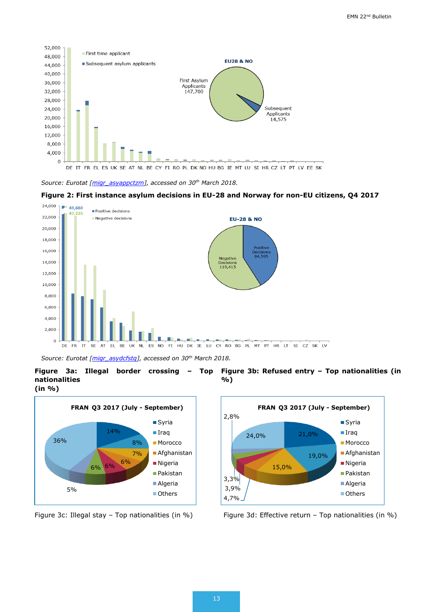

*Source: Eurotat [\[migr\\_asyappctzm\]](http://appsso.eurostat.ec.europa.eu/nui/show.do?dataset=migr_asyappctzm&lang=en), accessed on 30th March 2018.*

#### **Figure 2: First instance asylum decisions in EU-28 and Norway for non-EU citizens, Q4 2017**



*Source: Eurotat [\[migr\\_asydcfstq\]](http://appsso.eurostat.ec.europa.eu/nui/show.do?dataset=migr_asydcfstq&lang=en), accessed on 30th March 2018.*

**Figure 3a: Illegal border crossing – Top nationalities (in %) Figure 3b: Refused entry – Top nationalities (in %)**





Figure 3c: Illegal stay – Top nationalities (in %) Figure 3d: Effective return – Top nationalities (in %)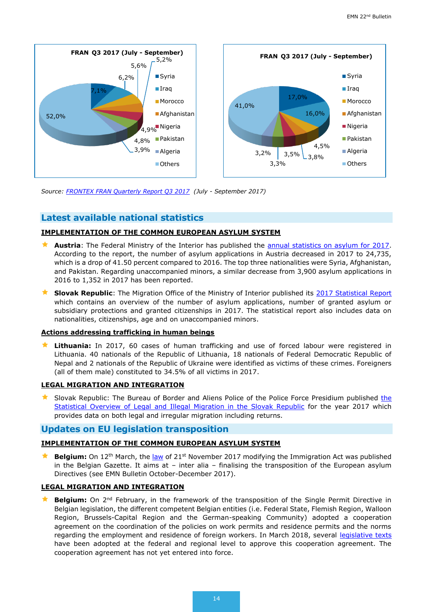

*Source: [FRONTEX FRAN Quarterly Report Q3 2017](https://frontex.europa.eu/assets/Publications/Risk_Analysis/Risk_Analysis/FRAN_Q3_2017.pdf) (July - September 2017)*

## **Latest available national statistics**

## **IMPLEMENTATION OF THE COMMON EUROPEAN ASYLUM SYSTEM**

- **Austria**: The Federal Ministry of the Interior has published the **annual statistics on asylum for 2017**. According to the report, the number of asylum applications in Austria decreased in 2017 to 24,735, which is a drop of 41.50 percent compared to 2016. The top three nationalities were Syria, Afghanistan, and Pakistan. Regarding unaccompanied minors, a similar decrease from 3,900 asylum applications in 2016 to 1,352 in 2017 has been reported.
- **Slovak Republic**: The Migration Office of the Ministry of Interior published its [2017 Statistical Report](http://www.minv.sk/?statistiky-20) which contains an overview of the number of asylum applications, number of granted asylum or subsidiary protections and granted citizenships in 2017. The statistical report also includes data on nationalities, citizenships, age and on unaccompanied minors.

## **Actions addressing trafficking in human beings**

 **Lithuania:** In 2017, 60 cases of human trafficking and use of forced labour were registered in Lithuania. 40 nationals of the Republic of Lithuania, 18 nationals of Federal Democratic Republic of Nepal and 2 nationals of the Republic of Ukraine were identified as victims of these crimes. Foreigners (all of them male) constituted to 34.5% of all victims in 2017.

## **LEGAL MIGRATION AND INTEGRATION**

Slovak Republic: The Bureau of Border and Aliens Police of [the](http://www.minv.sk/?rok-2017-1) Police Force Presidium published the [Statistical Overview of Legal and Illegal Migration in the Slovak Republic](http://www.minv.sk/?rok-2017-1) for the year 2017 which provides data on both legal and irregular migration including returns.

## **Updates on EU legislation transposition**

## **IMPLEMENTATION OF THE COMMON EUROPEAN ASYLUM SYSTEM**

**★ Belgium:** On 12<sup>th</sup> March, the <u>law</u> of 21<sup>st</sup> November 2017 modifying the Immigration Act was published in the Belgian Gazette. It aims at – inter alia – finalising the transposition of the European asylum Directives (see EMN Bulletin October-December 2017).

## **LEGAL MIGRATION AND INTEGRATION**

**Belgium:** On 2<sup>nd</sup> February, in the framework of the transposition of the Single Permit Directive in Belgian legislation, the different competent Belgian entities (i.e. Federal State, Flemish Region, Walloon Region, Brussels-Capital Region and the German-speaking Community) adopted a cooperation agreement on the coordination of the policies on work permits and residence permits and the norms regarding the employment and residence of foreign workers. In March 2018, several [legislative texts](https://emnbelgium.be/news/adoption-several-legislative-texts-related-cooperation-agreement-single-permit) have been adopted at the federal and regional level to approve this cooperation agreement. The cooperation agreement has not yet entered into force.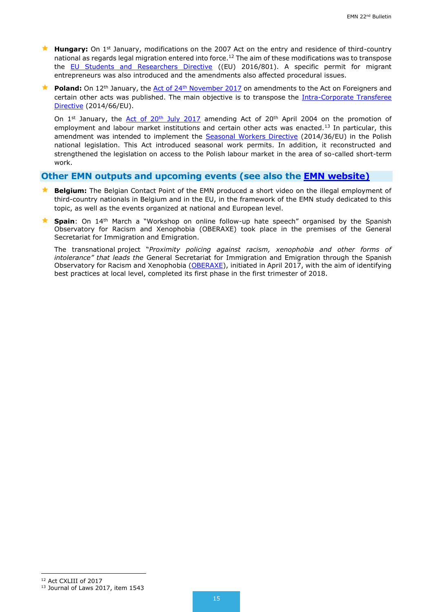- **Hungary:** On 1<sup>st</sup> January, modifications on the 2007 Act on the entry and residence of third-country national as regards legal migration entered into force.<sup>12</sup> The aim of these modifications was to transpose the [EU Students and Researchers Directive](https://eur-lex.europa.eu/legal-content/EN/TXT/?uri=CELEX:32016L0801) ((EU) 2016/801). A specific permit for migrant entrepreneurs was also introduced and the amendments also affected procedural issues.
- **Poland:** On 12<sup>th</sup> January, the Act of 24<sup>th</sup> [November 2017](https://emn.gov.pl/ese/news/14990,New-amendment-to-the-Act-on-Foreigners-entered-into-force-on-12-February-2018.html) on amendments to the Act on Foreigners and certain other acts was published. The main objective is to transpose the [Intra-Corporate Transferee](https://eur-lex.europa.eu/legal-content/EN/ALL/?uri=celex%3A32014L0066)  [Directive](https://eur-lex.europa.eu/legal-content/EN/ALL/?uri=celex%3A32014L0066) (2014/66/EU).

On  $1^{st}$  January, the Act of  $20^{th}$  July 2017 amending [Act of 20](https://emn.gov.pl/ese/news/14989,Most-important-changes-since-1-January-2018-related-to-possibilities-of-foreigne.html)<sup>th</sup> April 2004 on the promotion of employment and labour market institutions and certain other acts was enacted.<sup>13</sup> In particular, this amendment was intended to implement the [Seasonal Workers Directive](https://eur-lex.europa.eu/legal-content/EN/ALL/?uri=celex%3A32014L0036) (2014/36/EU) in the Polish national legislation. This Act introduced seasonal work permits. In addition, it reconstructed and strengthened the legislation on access to the Polish labour market in the area of so-called short-term work.

## **Other EMN outputs and upcoming events (see also the [EMN website\)](http://ec.europa.eu/dgs/home-affairs/what-we-do/networks/european_migration_network/events/index_en.htm)**

- **Belgium:** The Belgian Contact Point of the EMN produced a short video on the illegal employment of third-country nationals in Belgium and in the EU, in the framework of the EMN study dedicated to this topic, as well as the events organized at national and European level.
- **Spain**: On 14<sup>th</sup> March a "Workshop on online follow-up hate speech" organised by the Spanish Observatory for Racism and Xenophobia (OBERAXE) took place in the premises of the General Secretariat for Immigration and Emigration.

The transnational project "*Proximity policing against racism, xenophobia and other forms of intolerance" that leads the* General Secretariat for Immigration and Emigration through the Spanish Observatory for Racism and Xenophobia [\(OBERAXE\)](http://www.empleo.gob.es/oberaxe/es/creadi/index.htm), initiated in April 2017, with the aim of identifying best practices at local level, completed its first phase in the first trimester of 2018.

-

<sup>12</sup> Act CXLIII of 2017

<sup>13</sup> Journal of Laws 2017, item 1543